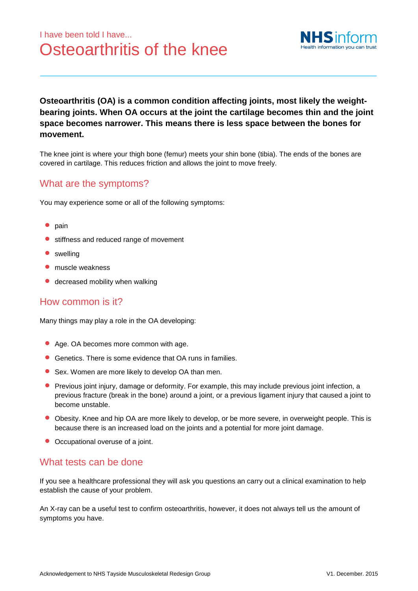# I have been told I have... Osteoarthritis of the knee



### **Osteoarthritis (OA) is a common condition affecting joints, most likely the weightbearing joints. When OA occurs at the joint the cartilage becomes thin and the joint space becomes narrower. This means there is less space between the bones for movement.**

The knee joint is where your thigh bone (femur) meets your shin bone (tibia). The ends of the bones are covered in cartilage. This reduces friction and allows the joint to move freely.

## What are the symptoms?

You may experience some or all of the following symptoms:

- $\bullet$  pain
- **•** stiffness and reduced range of movement
- swelling
- muscle weakness
- **decreased mobility when walking**

#### How common is it?

Many things may play a role in the OA developing:

- Age. OA becomes more common with age.
- Genetics. There is some evidence that OA runs in families.
- Sex. Women are more likely to develop OA than men.
- **Previous joint injury, damage or deformity. For example, this may include previous joint infection, a** previous fracture (break in the bone) around a joint, or a previous ligament injury that caused a joint to become unstable.
- Obesity. Knee and hip OA are more likely to develop, or be more severe, in overweight people. This is because there is an increased load on the joints and a potential for more joint damage.
- Occupational overuse of a joint.

#### What tests can be done

If you see a healthcare professional they will ask you questions an carry out a clinical examination to help establish the cause of your problem.

An X-ray can be a useful test to confirm osteoarthritis, however, it does not always tell us the amount of symptoms you have.